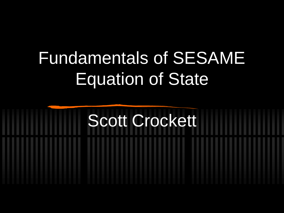# Fundamentals of SESAME Equation of State

# Scott Crockett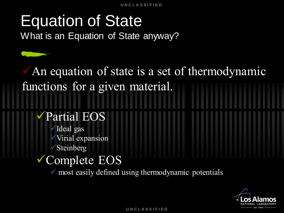#### Equation of State

What is an Equation of State anyway?

#### An equation of state is a set of thermodynamic functions for a given material.

#### Partial EOS

- Ideal gas
- Virial expansion
- **Steinberg**

#### Complete EOS

 $\checkmark$  most easily defined using thermodynamic potentials

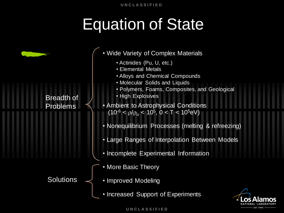## Equation of State

| <b>Contract of the Contract of the Contract of the Contract of the Contract of the Contract of the Contract of the Contract of the Contract of the Contract of the Contract of the Contract of The Contract of The Contract of T</b> |  |
|--------------------------------------------------------------------------------------------------------------------------------------------------------------------------------------------------------------------------------------|--|
|                                                                                                                                                                                                                                      |  |
|                                                                                                                                                                                                                                      |  |

#### Breadth of Problems

**Solutions** 

- Wide Variety of Complex Materials • Ambient to Astrophysical Conditions (10<sup>-6</sup> <  $\rho/\rho_o$  < 10<sup>5</sup>, 0 < T < 10<sup>5</sup>eV) • Nonequilibrium Processes (melting & refreezing) • Large Ranges of Interpolation Between Models • Incomplete Experimental Information • Actinides (Pu, U, etc.) • Elemental Metals • Alloys and Chemical Compounds • Molecular Solids and Liquids • Polymers, Foams, Composites, and Geological • High Explosives
	- More Basic Theory
	- Improved Modeling
		- Increased Support of Experiments

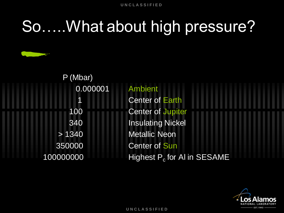#### So…..What about high pressure?

| P (Mbar)  |                                |
|-----------|--------------------------------|
| 0.000001  | <b>Ambient</b>                 |
| 1         | <b>Center of Earth</b>         |
| 100       | <b>Center of Jupiter</b>       |
| 340       | <b>Insulating Nickel</b>       |
| > 1340    | <b>Metallic Neon</b>           |
| 350000    | <b>Center of Sun</b>           |
| 100000000 | Highest $P_c$ for AI in SESAME |

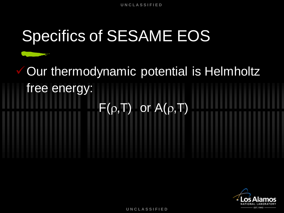## Specifics of SESAME EOS

Our thermodynamic potential is Helmholtz free energy:  $F(\rho,T)$  or  $A(\rho,T)$ 

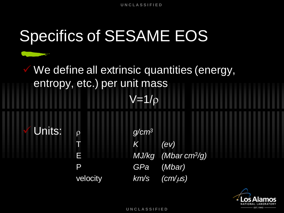# Specifics of SESAME EOS

We define all extrinsic quantities (energy, entropy, etc.) per unit mass  $V=1/\rho$ 

Units:  $\rho$  *g/cm<sup>3</sup>* T *K (ev)* E *MJ/kg (Mbar cm<sup>3</sup> /g)* P *GPa* (*Mbar)* velocity *km/s (cm/µs)* 

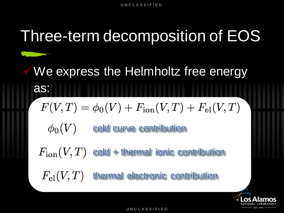#### Three-term decomposition of EOS We express the Helmholtz free energy as:  $F(V,T) = \phi_0(V) + F_{\text{ion}}(V,T) + F_{\text{el}}(V,T)$  $\phi_0(V)$ cold curve contribution  $F_{\rm ion}(V,T)$ cold + thermal ionic contribution  $F_{\rm el}(V,T)$ thermal electronic contribution

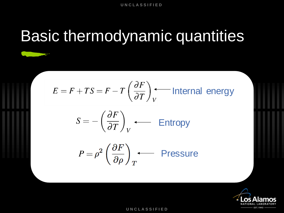## Basic thermodynamic quantities

$$
E = F + TS = F - T\left(\frac{\partial F}{\partial T}\right)_V
$$
 Internal energy

$$
S = -\left(\frac{\partial F}{\partial T}\right)_V \longleftarrow \text{Entropy}
$$

$$
P = \rho^2 \left(\frac{\partial F}{\partial \rho}\right)_T
$$
 **Pressure**

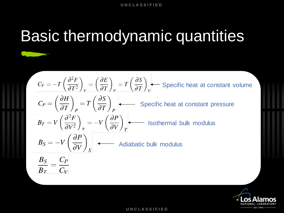# Basic thermodynamic quantities

$$
C_V = -T \left(\frac{\partial^2 F}{\partial T^2}\right)_V = \left(\frac{\partial E}{\partial T}\right)_V = T \left(\frac{\partial S}{\partial T}\right)_V
$$
 Specific heat at constant volume  
\n
$$
C_P = \left(\frac{\partial H}{\partial T}\right)_P = T \left(\frac{\partial S}{\partial T}\right)_P
$$
 Specific heat at constant pressure  
\n
$$
B_T = V \left(\frac{\partial^2 F}{\partial V^2}\right)_T = -V \left(\frac{\partial P}{\partial V}\right)_T
$$
Isothermal bulk modulus  
\n
$$
B_S = -V \left(\frac{\partial P}{\partial V}\right)_S
$$
 Andiabatic bulk modulus  
\n
$$
\frac{B_S}{B_T} = \frac{C_P}{C_V}
$$

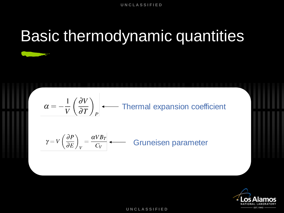# Basic thermodynamic quantities

$$
\alpha = -\frac{1}{V} \left( \frac{\partial V}{\partial T} \right)_P \longleftarrow \text{Thermal expansion coefficient}
$$

$$
\gamma = V \left( \frac{\partial P}{\partial E} \right)_V = \frac{\alpha V B_T}{C_V}
$$
 Gruneisen parameter

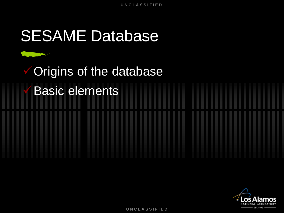#### SESAME Database

# Origins of the database Basic elements

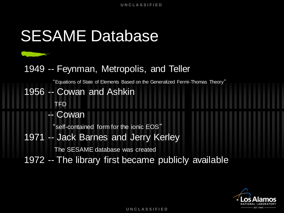#### SESAME Database

#### 1949 -- Feynman, Metropolis, and Teller

"Equations of State of Elements Based on the Generalized Fermi-Thomas Theory"

#### 1956 -- Cowan and Ashkin

-- Cowan

TFD

"self-contained form for the ionic EOS"

1971 -- Jack Barnes and Jerry Kerley

The SESAME database was created

1972 -- The library first became publicly available

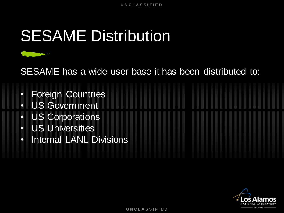## **SESAME Distribution**

SESAME has a wide user base it has been distributed to:

- Foreign Countries
- US Government
- US Corporations
- US Universities
- Internal LANL Divisions

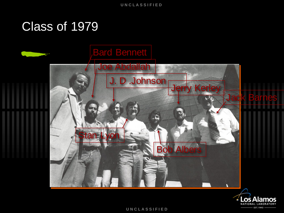#### Class of 1979



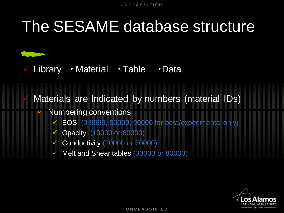#### The SESAME database structure

Library  $\rightarrow$  Material  $\rightarrow$  Table  $\rightarrow$  Data

Materials are Indicated by numbers (material IDs)

- Numbering conventions
	- EOS (0-9999, 50000, 90000 for beta/experimental only)
	- Opacity (10000 or 60000)
	- Conductivity (20000 or 70000)
	- Melt and Shear tables (30000 or 80000)

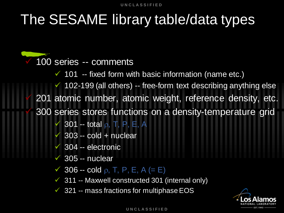#### The SESAME library table/data types

 100 series -- comments  $\checkmark$  101 -- fixed form with basic information (name etc.)  $\checkmark$  102-199 (all others) -- free-form text describing anything else 201 atomic number, atomic weight, reference density, etc. 300 series stores functions on a density-temperature grid  $\checkmark$  301 -- total  $\rho$ , T, P, E, A  $\checkmark$  303 -- cold + nuclear  $\checkmark$  304 -- electronic  $\sqrt{305}$  -- nuclear  $\checkmark$  306 -- cold  $\rho$ , T, P, E, A (= E)  $\checkmark$  311 -- Maxwell constructed 301 (internal only)

 $\checkmark$  321 -- mass fractions for multiphase EOS

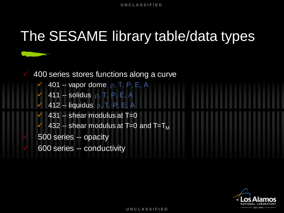#### The SESAME library table/data types



- $\checkmark$  401 -- vapor dome  $\rho$ , T, P, E, A  $\checkmark$  411 -- solidus  $\rho$ , T, P, E, A
	- 412 -- liquidus  $\rho$ , T, P, E, A
- 431 -- shear modulus at T=0
- 432 -- shear modulus at T=0 and  $T=T_M$
- 500 series -- opacity
- 600 series -- conductivity

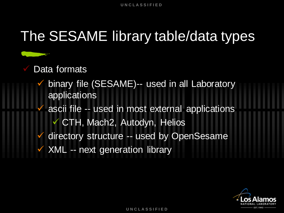#### The SESAME library table/data types

#### Data formats

 binary file (SESAME)-- used in all Laboratory applications ascii file -- used in most external applications CTH, Mach2, Autodyn, Helios directory structure -- used by OpenSesame XML -- next generation library